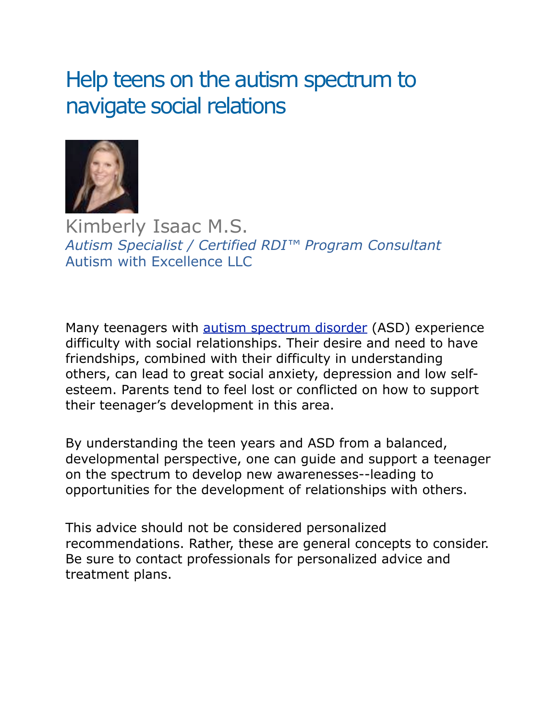# Help teens on the autism spectrum to navigate social relations



Kimberly Isaac M.S. *Autism Specialist / Certified RDI™ Program Consultant* Autism with Excellence LLC

Many teenagers with **autism spectrum disorder** (ASD) experience difficulty with social relationships. Their desire and need to have friendships, combined with their difficulty in understanding others, can lead to great social anxiety, depression and low selfesteem. Parents tend to feel lost or conflicted on how to support their teenager's development in this area.

By understanding the teen years and ASD from a balanced, developmental perspective, one can guide and support a teenager on the spectrum to develop new awarenesses--leading to opportunities for the development of relationships with others.

This advice should not be considered personalized recommendations. Rather, these are general concepts to consider. Be sure to contact professionals for personalized advice and treatment plans.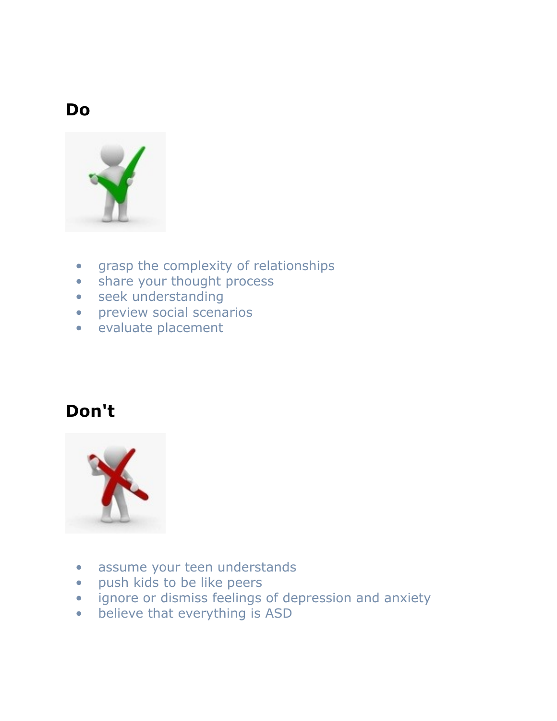### **Do**



- grasp the complexity of relationships
- share your thought process
- seek understanding
- preview social scenarios
- evaluate placement

### **Don't**



- assume your teen understands
- push kids to be like peers
- ignore or dismiss feelings of depression and anxiety
- believe that everything is ASD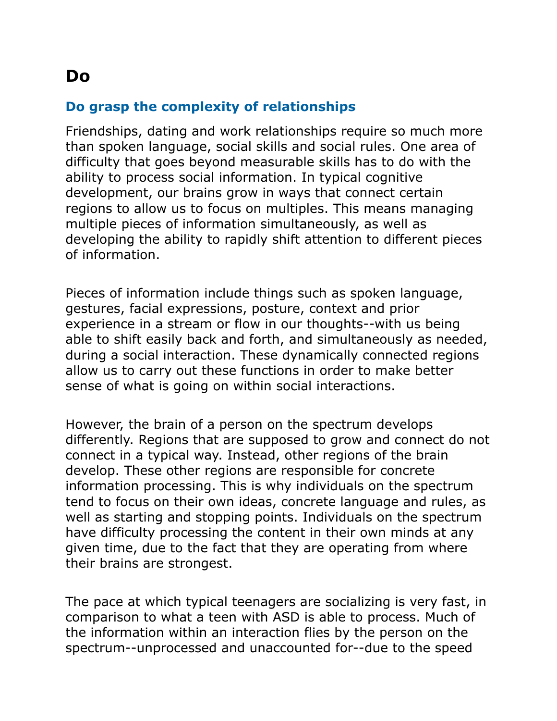### **Do**

### **Do grasp the complexity of relationships**

Friendships, dating and work relationships require so much more than spoken language, social skills and social rules. One area of difficulty that goes beyond measurable skills has to do with the ability to process social information. In typical cognitive development, our brains grow in ways that connect certain regions to allow us to focus on multiples. This means managing multiple pieces of information simultaneously, as well as developing the ability to rapidly shift attention to different pieces of information.

Pieces of information include things such as spoken language, gestures, facial expressions, posture, context and prior experience in a stream or flow in our thoughts--with us being able to shift easily back and forth, and simultaneously as needed, during a social interaction. These dynamically connected regions allow us to carry out these functions in order to make better sense of what is going on within social interactions.

However, the brain of a person on the spectrum develops differently. Regions that are supposed to grow and connect do not connect in a typical way. Instead, other regions of the brain develop. These other regions are responsible for concrete information processing. This is why individuals on the spectrum tend to focus on their own ideas, concrete language and rules, as well as starting and stopping points. Individuals on the spectrum have difficulty processing the content in their own minds at any given time, due to the fact that they are operating from where their brains are strongest.

The pace at which typical teenagers are socializing is very fast, in comparison to what a teen with ASD is able to process. Much of the information within an interaction flies by the person on the spectrum--unprocessed and unaccounted for--due to the speed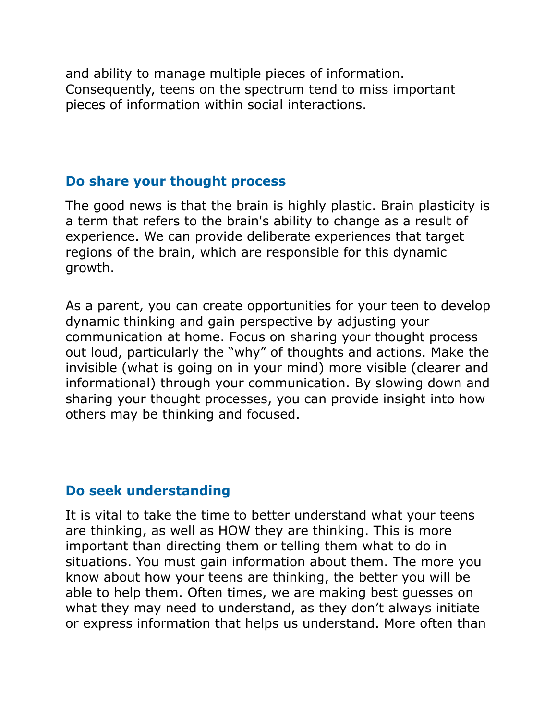and ability to manage multiple pieces of information. Consequently, teens on the spectrum tend to miss important pieces of information within social interactions.

#### **Do share your thought process**

The good news is that the brain is highly plastic. Brain plasticity is a term that refers to the brain's ability to change as a result of experience. We can provide deliberate experiences that target regions of the brain, which are responsible for this dynamic growth.

As a parent, you can create opportunities for your teen to develop dynamic thinking and gain perspective by adjusting your communication at home. Focus on sharing your thought process out loud, particularly the "why" of thoughts and actions. Make the invisible (what is going on in your mind) more visible (clearer and informational) through your communication. By slowing down and sharing your thought processes, you can provide insight into how others may be thinking and focused.

#### **Do seek understanding**

It is vital to take the time to better understand what your teens are thinking, as well as HOW they are thinking. This is more important than directing them or telling them what to do in situations. You must gain information about them. The more you know about how your teens are thinking, the better you will be able to help them. Often times, we are making best guesses on what they may need to understand, as they don't always initiate or express information that helps us understand. More often than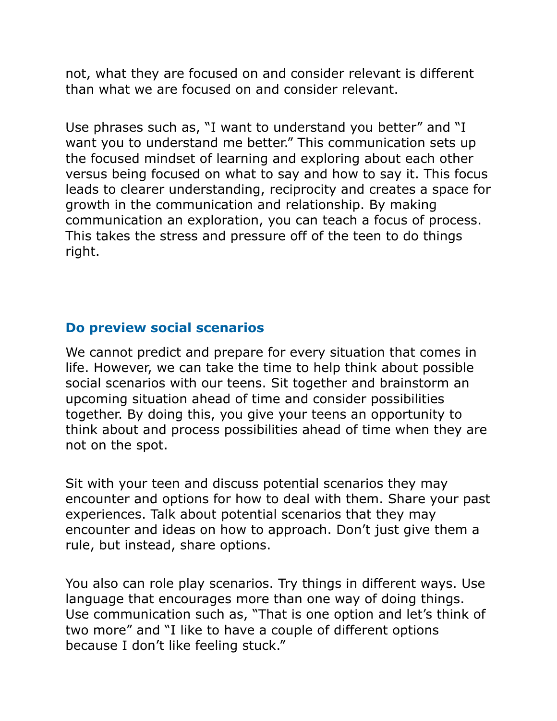not, what they are focused on and consider relevant is different than what we are focused on and consider relevant.

Use phrases such as, "I want to understand you better" and "I want you to understand me better." This communication sets up the focused mindset of learning and exploring about each other versus being focused on what to say and how to say it. This focus leads to clearer understanding, reciprocity and creates a space for growth in the communication and relationship. By making communication an exploration, you can teach a focus of process. This takes the stress and pressure off of the teen to do things right.

#### **Do preview social scenarios**

We cannot predict and prepare for every situation that comes in life. However, we can take the time to help think about possible social scenarios with our teens. Sit together and brainstorm an upcoming situation ahead of time and consider possibilities together. By doing this, you give your teens an opportunity to think about and process possibilities ahead of time when they are not on the spot.

Sit with your teen and discuss potential scenarios they may encounter and options for how to deal with them. Share your past experiences. Talk about potential scenarios that they may encounter and ideas on how to approach. Don't just give them a rule, but instead, share options.

You also can role play scenarios. Try things in different ways. Use language that encourages more than one way of doing things. Use communication such as, "That is one option and let's think of two more" and "I like to have a couple of different options because I don't like feeling stuck."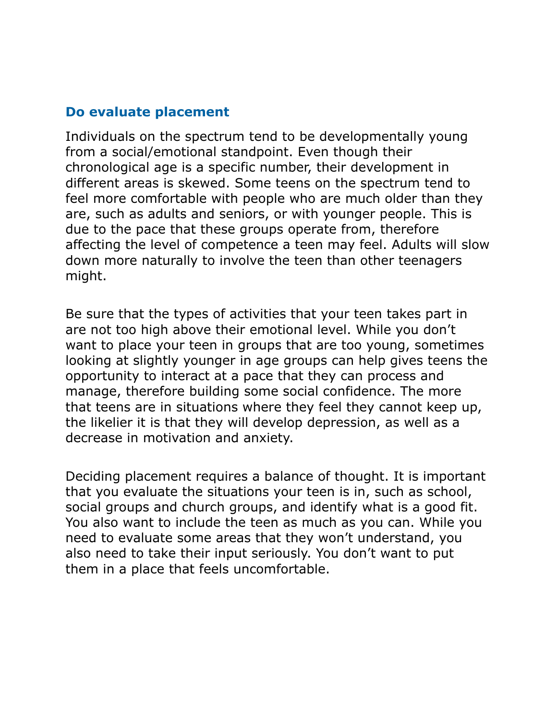#### **Do evaluate placement**

Individuals on the spectrum tend to be developmentally young from a social/emotional standpoint. Even though their chronological age is a specific number, their development in different areas is skewed. Some teens on the spectrum tend to feel more comfortable with people who are much older than they are, such as adults and seniors, or with younger people. This is due to the pace that these groups operate from, therefore affecting the level of competence a teen may feel. Adults will slow down more naturally to involve the teen than other teenagers might.

Be sure that the types of activities that your teen takes part in are not too high above their emotional level. While you don't want to place your teen in groups that are too young, sometimes looking at slightly younger in age groups can help gives teens the opportunity to interact at a pace that they can process and manage, therefore building some social confidence. The more that teens are in situations where they feel they cannot keep up, the likelier it is that they will develop depression, as well as a decrease in motivation and anxiety.

Deciding placement requires a balance of thought. It is important that you evaluate the situations your teen is in, such as school, social groups and church groups, and identify what is a good fit. You also want to include the teen as much as you can. While you need to evaluate some areas that they won't understand, you also need to take their input seriously. You don't want to put them in a place that feels uncomfortable.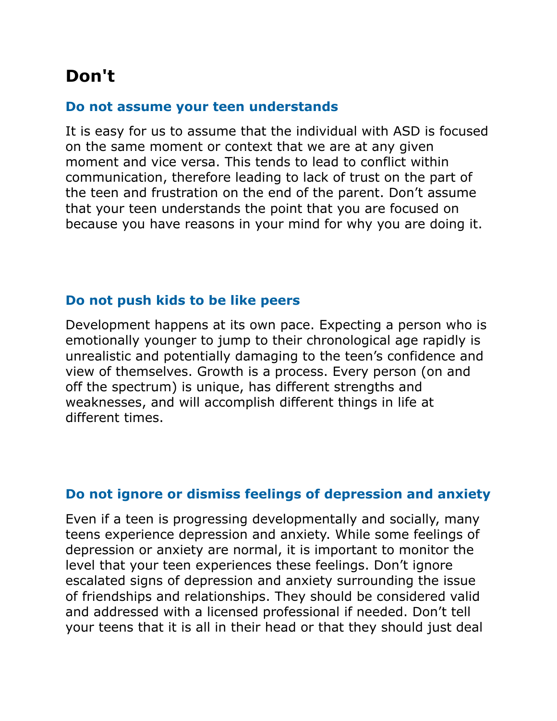## **Don't**

#### **Do not assume your teen understands**

It is easy for us to assume that the individual with ASD is focused on the same moment or context that we are at any given moment and vice versa. This tends to lead to conflict within communication, therefore leading to lack of trust on the part of the teen and frustration on the end of the parent. Don't assume that your teen understands the point that you are focused on because you have reasons in your mind for why you are doing it.

#### **Do not push kids to be like peers**

Development happens at its own pace. Expecting a person who is emotionally younger to jump to their chronological age rapidly is unrealistic and potentially damaging to the teen's confidence and view of themselves. Growth is a process. Every person (on and off the spectrum) is unique, has different strengths and weaknesses, and will accomplish different things in life at different times.

#### **Do not ignore or dismiss feelings of depression and anxiety**

Even if a teen is progressing developmentally and socially, many teens experience depression and anxiety. While some feelings of depression or anxiety are normal, it is important to monitor the level that your teen experiences these feelings. Don't ignore escalated signs of depression and anxiety surrounding the issue of friendships and relationships. They should be considered valid and addressed with a licensed professional if needed. Don't tell your teens that it is all in their head or that they should just deal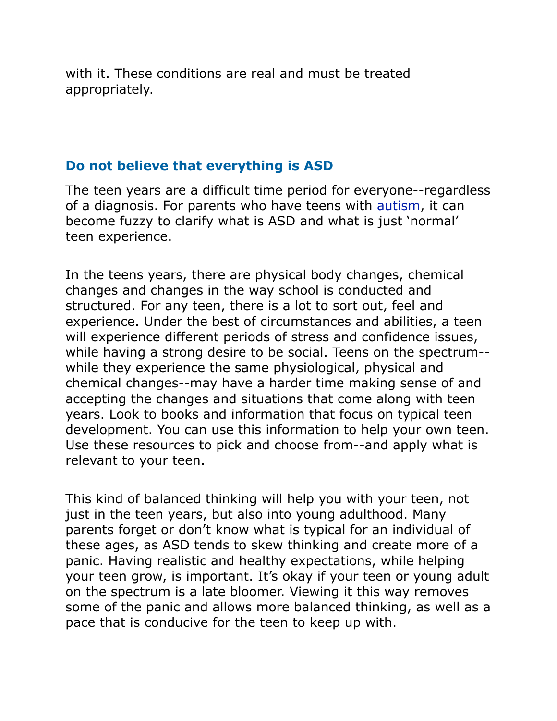with it. These conditions are real and must be treated appropriately.

#### **Do not believe that everything is ASD**

The teen years are a difficult time period for everyone--regardless of a diagnosis. For parents who have teens with **autism**, it can become fuzzy to clarify what is ASD and what is just 'normal' teen experience.

In the teens years, there are physical body changes, chemical changes and changes in the way school is conducted and structured. For any teen, there is a lot to sort out, feel and experience. Under the best of circumstances and abilities, a teen will experience different periods of stress and confidence issues, while having a strong desire to be social. Teens on the spectrum- while they experience the same physiological, physical and chemical changes--may have a harder time making sense of and accepting the changes and situations that come along with teen years. Look to books and information that focus on typical teen development. You can use this information to help your own teen. Use these resources to pick and choose from--and apply what is relevant to your teen.

This kind of balanced thinking will help you with your teen, not just in the teen years, but also into young adulthood. Many parents forget or don't know what is typical for an individual of these ages, as ASD tends to skew thinking and create more of a panic. Having realistic and healthy expectations, while helping your teen grow, is important. It's okay if your teen or young adult on the spectrum is a late bloomer. Viewing it this way removes some of the panic and allows more balanced thinking, as well as a pace that is conducive for the teen to keep up with.